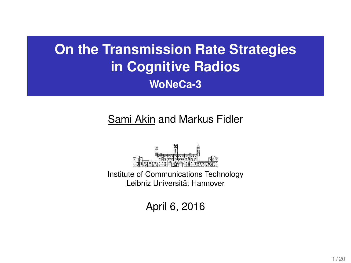# **On the Transmission Rate Strategies in Cognitive Radios WoNeCa-3**

## Sami Akin and Markus Fidler



Institute of Communications Technology Leibniz Universitat Hannover ¨

April 6, 2016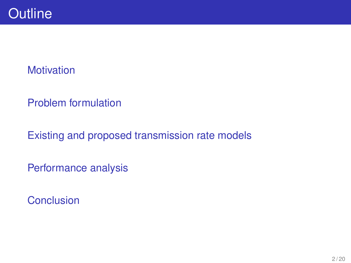## **[Motivation](#page-2-0)**

[Problem formulation](#page-5-0)

[Existing and proposed transmission rate models](#page-8-0)

[Performance analysis](#page-9-0)

**[Conclusion](#page-16-0)**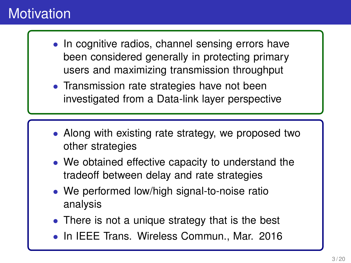# <span id="page-2-0"></span>**Motivation**

- In cognitive radios, channel sensing errors have been considered generally in protecting primary users and maximizing transmission throughput
- Transmission rate strategies have not been investigated from a Data-link layer perspective
- Along with existing rate strategy, we proposed two other strategies
- We obtained effective capacity to understand the tradeoff between delay and rate strategies
- We performed low/high signal-to-noise ratio analysis
- There is not a unique strategy that is the best
- In IEEE Trans. Wireless Commun., Mar. 2016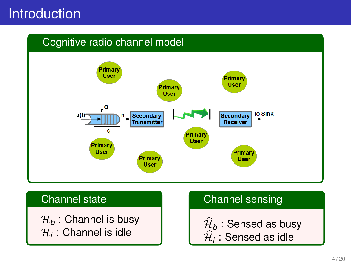## Introduction

### Cognitive radio channel model



### Channel state

 $\mathcal{H}_b$  : Channel is busy  $\mathcal{H}_i$  : Channel is idle

### Channel sensing

 $\mathcal{H}_{b}$  : Sensed as busy  $\mathcal{H}_i$  : Sensed as idle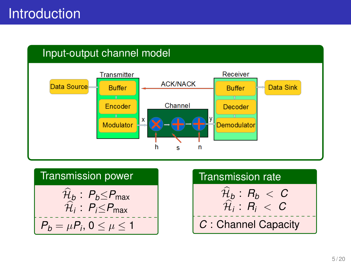

Transmission power  
\n
$$
\hat{\mathcal{H}}_b: P_b \leq P_{\text{max}}
$$
\n
$$
\hat{\mathcal{H}}_i: P_i \leq P_{\text{max}}
$$
\n
$$
P_b = \mu P_i, 0 \leq \mu \leq 1
$$

| <b>Transmission rate</b>    |
|-----------------------------|
| $\mathcal{H}_b: R_b < C$    |
| $\mathcal{H}_i$ : $R_i < C$ |
| C : Channel Capacity        |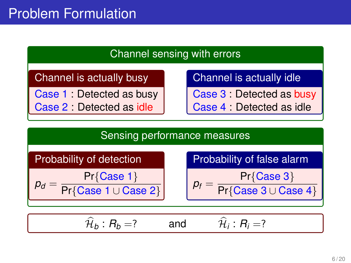

<span id="page-5-0"></span>Channel is actually busy

Case 1 : Detected as busy

Case 2 : Detected as idle

Channel is actually idle

Case 3 : Detected as busy

Case 4 : Detected as idle

#### Sensing performance measures

Probability of detection

$$
p_d = \frac{\Pr{\text{Case 1}}}{\Pr{\text{Case 1} \cup \text{Case 2}}}
$$

Probability of false alarm 
$$
\sqrt{\frac{P_{\text{max}}(Q_{\text{max}})}{P_{\text{max}}(Q_{\text{max}})}}
$$

$$
p_f = \frac{\Pr{\text{Case 3}}}{\Pr{\text{Case 3} \cup \text{Case 4}}}
$$

$$
\widehat{\mathcal{H}}_b: R_b = ? \qquad \text{and} \qquad \widehat{\mathcal{H}}_i: R_i = ?
$$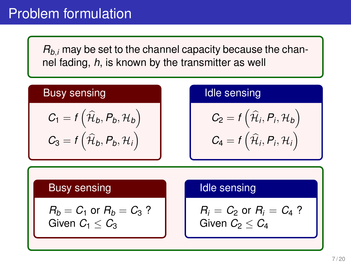*Rb*,*<sup>i</sup>* may be set to the channel capacity because the channel fading, *h*, is known by the transmitter as well

### Busy sensing

$$
C_1 = f\left(\widehat{\mathcal{H}}_b, P_b, \mathcal{H}_b\right)
$$

$$
C_3 = f\left(\widehat{\mathcal{H}}_b, P_b, \mathcal{H}_i\right)
$$

#### Idle sensing

$$
C_2 = f\left(\widehat{\mathcal{H}}_i, P_i, \mathcal{H}_b\right)
$$

$$
C_4 = f\left(\widehat{\mathcal{H}}_i, P_i, \mathcal{H}_i\right)
$$

#### Busy sensing

$$
R_b = C_1 \text{ or } R_b = C_3 ?
$$
  
Given  $C_1 \leq C_3$ 

### Idle sensing

$$
R_i = C_2 \text{ or } R_i = C_4 ?
$$
  
Given  $C_2 \leq C_4$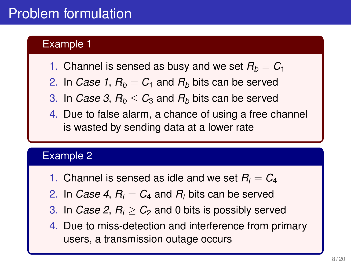# Problem formulation

### Example 1

- 1. Channel is sensed as busy and we set  $R_b = C_1$
- 2. In *Case 1*,  $R_b = C_1$  and  $R_b$  bits can be served
- 3. In *Case 3,*  $R_b < C_3$  and  $R_b$  bits can be served
- 4. Due to false alarm, a chance of using a free channel is wasted by sending data at a lower rate

#### Example 2

- 1. Channel is sensed as idle and we set  $R_i = C_4$
- 2. In *Case 4*,  $R_i = C_4$  and  $R_i$  bits can be served
- 3. In *Case 2,*  $R_i > C_2$  and 0 bits is possibly served
- 4. Due to miss-detection and interference from primary users, a transmission outage occurs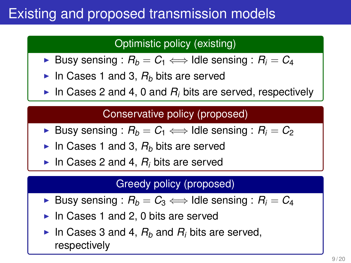# <span id="page-8-0"></span>Existing and proposed transmission models

## Optimistic policy (existing)

- **►** Busy sensing :  $R_b = C_1$   $\Longleftrightarrow$  Idle sensing :  $R_i = C_4$
- In Cases 1 and 3,  $R_b$  bits are served
- In Cases 2 and 4, 0 and  $R_i$  bits are served, respectively

### Conservative policy (proposed)

- **►** Busy sensing :  $R_b = C_1$   $\Longleftrightarrow$  Idle sensing :  $R_i = C_2$
- In Cases 1 and 3,  $R_b$  bits are served
- In Cases 2 and 4,  $R_i$  bits are served

#### Greedy policy (proposed)

- **►** Busy sensing :  $R_b = C_3$   $\Longleftrightarrow$  Idle sensing :  $R_i = C_4$
- In Cases 1 and 2, 0 bits are served
- In Cases 3 and 4,  $R_b$  and  $R_i$  bits are served, respectively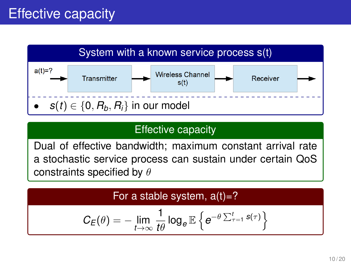# <span id="page-9-0"></span>Effective capacity



## Effective capacity

Dual of effective bandwidth; maximum constant arrival rate a stochastic service process can sustain under certain QoS constraints specified by  $\theta$ 

For a stable system,  $a(t)=?$ 

$$
C_E(\theta) = -\lim_{t\to\infty} \frac{1}{t\theta} \log_e \mathbb{E} \left\{ e^{-\theta \sum_{\tau=1}^t s(\tau)} \right\}
$$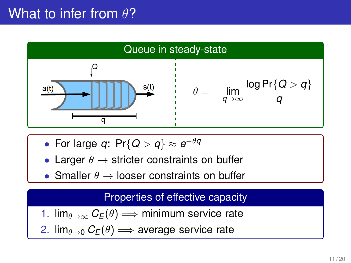## What to infer from  $\theta$ ?



- For large *q*: Pr{*Q* > *q*} ≈ *e* −θ*q*
- Larger  $\theta \rightarrow$  stricter constraints on buffer
- Smaller  $\theta \rightarrow$  looser constraints on buffer

### Properties of effective capacity

1.  $\lim_{\theta \to \infty} C_E(\theta) \Longrightarrow$  minimum service rate

2.  $\lim_{\theta \to 0} C_E(\theta) \Longrightarrow$  average service rate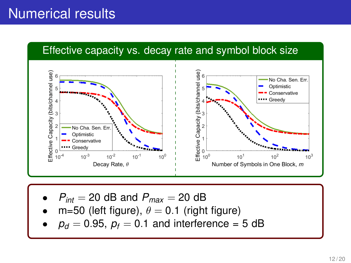# Numerical results



- $P_{int} = 20$  dB and  $P_{max} = 20$  dB
- m=50 (left figure),  $\theta = 0.1$  (right figure)
- $p_d = 0.95$ ,  $p_f = 0.1$  and interference = 5 dB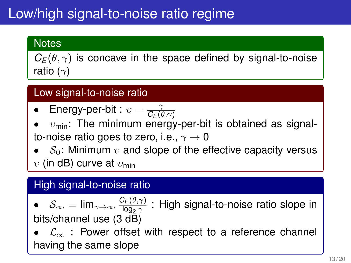# Low/high signal-to-noise ratio regime

## **Notes**

 $C_F(\theta, \gamma)$  is concave in the space defined by signal-to-noise ratio ( $\gamma$ )

## Low signal-to-noise ratio

- Energy-per-bit :  $v = \frac{\gamma}{Cc}$  $\mathit{C}_{E}(\theta,\gamma)$
- $v_{\text{min}}$ : The minimum energy-per-bit is obtained as signalto-noise ratio goes to zero, i.e.,  $\gamma \rightarrow 0$
- $S_0$ : Minimum  $v$  and slope of the effective capacity versus  $v$  (in dB) curve at  $v_{\text{min}}$

## High signal-to-noise ratio

• 
$$
S_{\infty} = \lim_{\gamma \to \infty} \frac{C_E(\theta, \gamma)}{\log_2 \gamma}
$$
: High signal-to-noise ratio slope in bits/channel use (3 dB)

 $\mathcal{L}_{\infty}$  : Power offset with respect to a reference channel having the same slope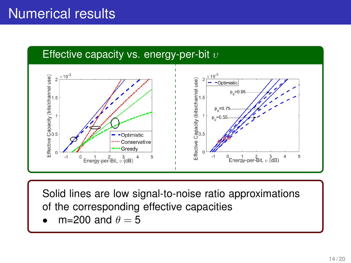

Solid lines are low signal-to-noise ratio approximations of the corresponding effective capacities

m=200 and  $\theta = 5$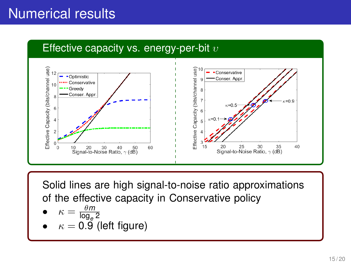# Numerical results



Solid lines are high signal-to-noise ratio approximations of the effective capacity in Conservative policy

• 
$$
\kappa = \frac{\theta m}{\log_e 2}
$$

 $\kappa = 0.9$  (left figure)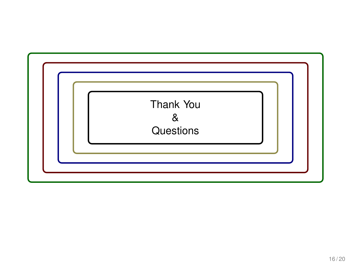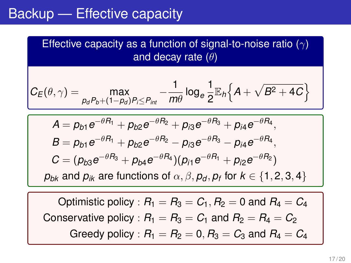## <span id="page-16-0"></span>Backup — Effective capacity

Effective capacity as a function of signal-to-noise ratio  $(\gamma)$ and decay rate  $(\theta)$ 

$$
C_E(\theta, \gamma) = \max_{p_d P_b + (1-p_d)P_i \leq P_{int}} -\frac{1}{m\theta} \log_e \frac{1}{2} \mathbb{E}_h \Big\{ A + \sqrt{B^2 + 4C} \Big\}
$$

$$
A = p_{b1}e^{-\theta R_1} + p_{b2}e^{-\theta R_2} + p_{i3}e^{-\theta R_3} + p_{i4}e^{-\theta R_4},
$$
  
\n
$$
B = p_{b1}e^{-\theta R_1} + p_{b2}e^{-\theta R_2} - p_{i3}e^{-\theta R_3} - p_{i4}e^{-\theta R_4},
$$
  
\n
$$
C = (p_{b3}e^{-\theta R_3} + p_{b4}e^{-\theta R_4})(p_{i1}e^{-\theta R_1} + p_{i2}e^{-\theta R_2})
$$
  
\n
$$
p_{bk}
$$
 and  $p_{ik}$  are functions of  $\alpha, \beta, p_d, p_f$  for  $k \in \{1, 2, 3, 4\}$ 

Optimistic policy :  $R_1 = R_3 = C_1$ ,  $R_2 = 0$  and  $R_4 = C_4$ Conservative policy :  $R_1 = R_3 = C_1$  and  $R_2 = R_4 = C_2$ Greedy policy :  $R_1 = R_2 = 0$ ,  $R_3 = C_3$  and  $R_4 = C_4$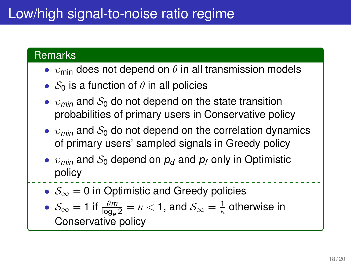# Low/high signal-to-noise ratio regime

#### **Remarks**

- $v_{\text{min}}$  does not depend on  $\theta$  in all transmission models
- $S_0$  is a function of  $\theta$  in all policies
- $v_{\text{min}}$  and  $S_0$  do not depend on the state transition probabilities of primary users in Conservative policy
- $\bullet$   $v_{min}$  and  $S_0$  do not depend on the correlation dynamics of primary users' sampled signals in Greedy policy
- $v_{min}$  and  $S_0$  depend on  $p_d$  and  $p_f$  only in Optimistic policy
- $S_{\infty} = 0$  in Optimistic and Greedy policies

• 
$$
\mathcal{S}_{\infty} = 1
$$
 if  $\frac{\theta m}{\log_e 2} = \kappa < 1$ , and  $\mathcal{S}_{\infty} = \frac{1}{\kappa}$  otherwise in Conservative policy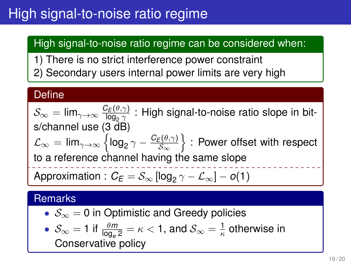# High signal-to-noise ratio regime

## High signal-to-noise ratio regime can be considered when:

- 1) There is no strict interference power constraint
- 2) Secondary users internal power limits are very high

#### **Define**

 $\mathcal{S}_{\infty} = \lim_{\gamma \to \infty} \frac{C_E(\theta, \gamma)}{\log_{\theta} \gamma}$  $\frac{dE(V;Y)}{\log_2\gamma}$  : High signal-to-noise ratio slope in bits/channel use (3 dB)  $\mathcal{L}_{\infty} = \mathsf{lim}_{\gamma \to \infty} \left\{ \mathsf{log}_2 \, \gamma - \frac{\mathcal{C}_E(\theta, \gamma)}{\mathcal{S}_{\infty}} \right\}$  $\left\{\frac{\varepsilon(\theta,\gamma)}{S_\infty}\right\}$  : Power offset with respect to a reference channel having the same slope Approximation :  $\mathcal{C}_{\mathcal{E}} = \mathcal{S}_{\infty}$  [log<sub>2</sub>  $\gamma - \mathcal{L}_{\infty}$ ] – *o*(1)

### **Remarks**

•  $S_{\infty} = 0$  in Optimistic and Greedy policies

• 
$$
\mathcal{S}_{\infty} = 1
$$
 if  $\frac{\theta m}{\log_e 2} = \kappa < 1$ , and  $\mathcal{S}_{\infty} = \frac{1}{\kappa}$  otherwise in **Conservative policy**